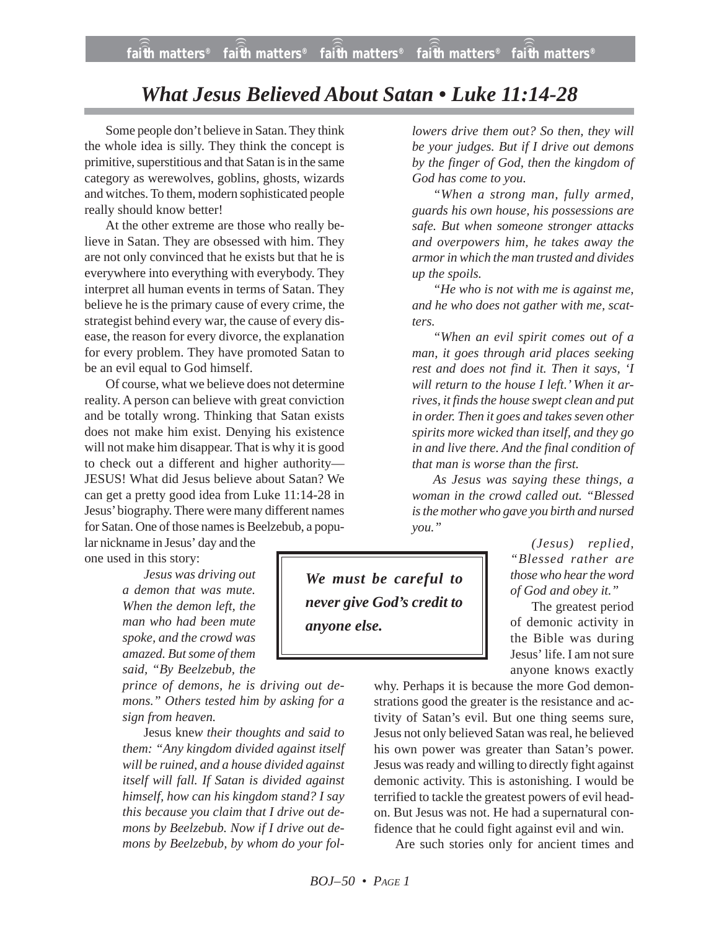## *What Jesus Believed About Satan • Luke 11:14-28*

Some people don't believe in Satan. They think the whole idea is silly. They think the concept is primitive, superstitious and that Satan is in the same category as werewolves, goblins, ghosts, wizards and witches. To them, modern sophisticated people really should know better!

At the other extreme are those who really believe in Satan. They are obsessed with him. They are not only convinced that he exists but that he is everywhere into everything with everybody. They interpret all human events in terms of Satan. They believe he is the primary cause of every crime, the strategist behind every war, the cause of every disease, the reason for every divorce, the explanation for every problem. They have promoted Satan to be an evil equal to God himself.

Of course, what we believe does not determine reality. A person can believe with great conviction and be totally wrong. Thinking that Satan exists does not make him exist. Denying his existence will not make him disappear. That is why it is good to check out a different and higher authority— JESUS! What did Jesus believe about Satan? We can get a pretty good idea from Luke 11:14-28 in Jesus' biography. There were many different names for Satan. One of those names is Beelzebub, a popu-

lar nickname in Jesus' day and the one used in this story:

> *Jesus was driving out a demon that was mute. When the demon left, the man who had been mute spoke, and the crowd was amazed. But some of them said, "By Beelzebub, the*

*prince of demons, he is driving out demons." Others tested him by asking for a sign from heaven.*

Jesus kne*w their thoughts and said to them: "Any kingdom divided against itself will be ruined, and a house divided against itself will fall. If Satan is divided against himself, how can his kingdom stand? I say this because you claim that I drive out demons by Beelzebub. Now if I drive out demons by Beelzebub, by whom do your fol-* *lowers drive them out? So then, they will be your judges. But if I drive out demons by the finger of God, then the kingdom of God has come to you.*

*"When a strong man, fully armed, guards his own house, his possessions are safe. But when someone stronger attacks and overpowers him, he takes away the armor in which the man trusted and divides up the spoils.*

*"He who is not with me is against me, and he who does not gather with me, scatters.*

*"When an evil spirit comes out of a man, it goes through arid places seeking rest and does not find it. Then it says, 'I will return to the house I left.' When it arrives, it finds the house swept clean and put in order. Then it goes and takes seven other spirits more wicked than itself, and they go in and live there. And the final condition of that man is worse than the first.*

*As Jesus was saying these things, a woman in the crowd called out. "Blessed is the mother who gave you birth and nursed you."*

*We must be careful to never give God's credit to anyone else.*

*(Jesus) replied, "Blessed rather are those who hear the word of God and obey it."*

The greatest period of demonic activity in the Bible was during Jesus' life. I am not sure anyone knows exactly

why. Perhaps it is because the more God demonstrations good the greater is the resistance and activity of Satan's evil. But one thing seems sure, Jesus not only believed Satan was real, he believed his own power was greater than Satan's power. Jesus was ready and willing to directly fight against demonic activity. This is astonishing. I would be terrified to tackle the greatest powers of evil headon. But Jesus was not. He had a supernatural confidence that he could fight against evil and win.

Are such stories only for ancient times and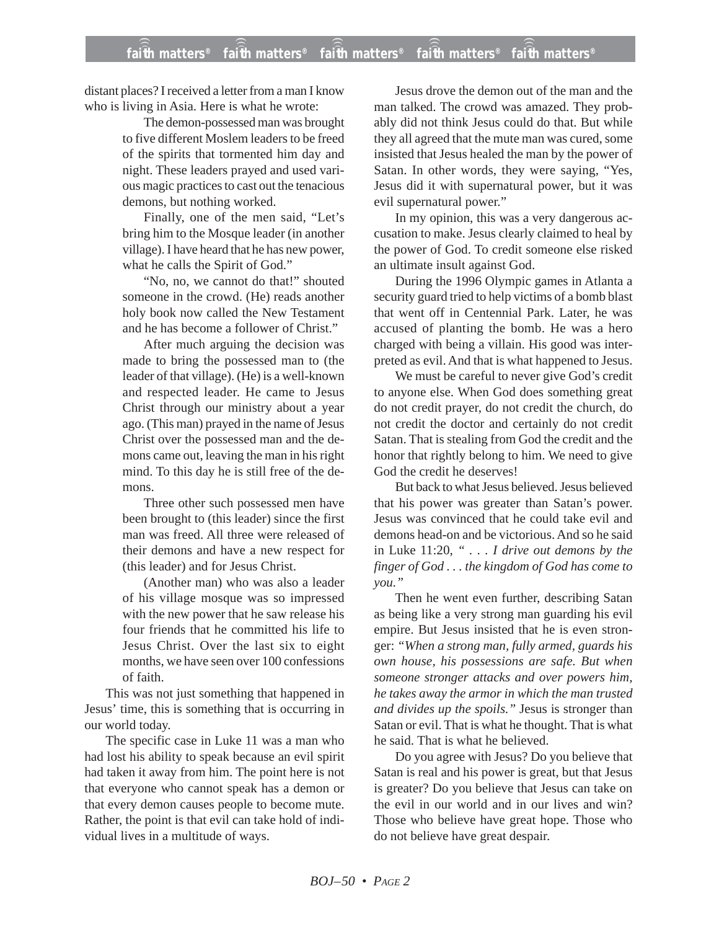distant places? I received a letter from a man I know who is living in Asia. Here is what he wrote:

> The demon-possessed man was brought to five different Moslem leaders to be freed of the spirits that tormented him day and night. These leaders prayed and used various magic practices to cast out the tenacious demons, but nothing worked.

> Finally, one of the men said, "Let's bring him to the Mosque leader (in another village). I have heard that he has new power, what he calls the Spirit of God."

> "No, no, we cannot do that!" shouted someone in the crowd. (He) reads another holy book now called the New Testament and he has become a follower of Christ."

> After much arguing the decision was made to bring the possessed man to (the leader of that village). (He) is a well-known and respected leader. He came to Jesus Christ through our ministry about a year ago. (This man) prayed in the name of Jesus Christ over the possessed man and the demons came out, leaving the man in his right mind. To this day he is still free of the demons.

> Three other such possessed men have been brought to (this leader) since the first man was freed. All three were released of their demons and have a new respect for (this leader) and for Jesus Christ.

> (Another man) who was also a leader of his village mosque was so impressed with the new power that he saw release his four friends that he committed his life to Jesus Christ. Over the last six to eight months, we have seen over 100 confessions of faith.

This was not just something that happened in Jesus' time, this is something that is occurring in our world today.

The specific case in Luke 11 was a man who had lost his ability to speak because an evil spirit had taken it away from him. The point here is not that everyone who cannot speak has a demon or that every demon causes people to become mute. Rather, the point is that evil can take hold of individual lives in a multitude of ways.

Jesus drove the demon out of the man and the man talked. The crowd was amazed. They probably did not think Jesus could do that. But while they all agreed that the mute man was cured, some insisted that Jesus healed the man by the power of Satan. In other words, they were saying, "Yes, Jesus did it with supernatural power, but it was evil supernatural power."

In my opinion, this was a very dangerous accusation to make. Jesus clearly claimed to heal by the power of God. To credit someone else risked an ultimate insult against God.

During the 1996 Olympic games in Atlanta a security guard tried to help victims of a bomb blast that went off in Centennial Park. Later, he was accused of planting the bomb. He was a hero charged with being a villain. His good was interpreted as evil. And that is what happened to Jesus.

We must be careful to never give God's credit to anyone else. When God does something great do not credit prayer, do not credit the church, do not credit the doctor and certainly do not credit Satan. That is stealing from God the credit and the honor that rightly belong to him. We need to give God the credit he deserves!

But back to what Jesus believed. Jesus believed that his power was greater than Satan's power. Jesus was convinced that he could take evil and demons head-on and be victorious. And so he said in Luke 11:20, *" . . . I drive out demons by the finger of God . . . the kingdom of God has come to you."*

Then he went even further, describing Satan as being like a very strong man guarding his evil empire. But Jesus insisted that he is even stronger: *"When a strong man, fully armed, guards his own house, his possessions are safe. But when someone stronger attacks and over powers him, he takes away the armor in which the man trusted and divides up the spoils."* Jesus is stronger than Satan or evil. That is what he thought. That is what he said. That is what he believed.

Do you agree with Jesus? Do you believe that Satan is real and his power is great, but that Jesus is greater? Do you believe that Jesus can take on the evil in our world and in our lives and win? Those who believe have great hope. Those who do not believe have great despair.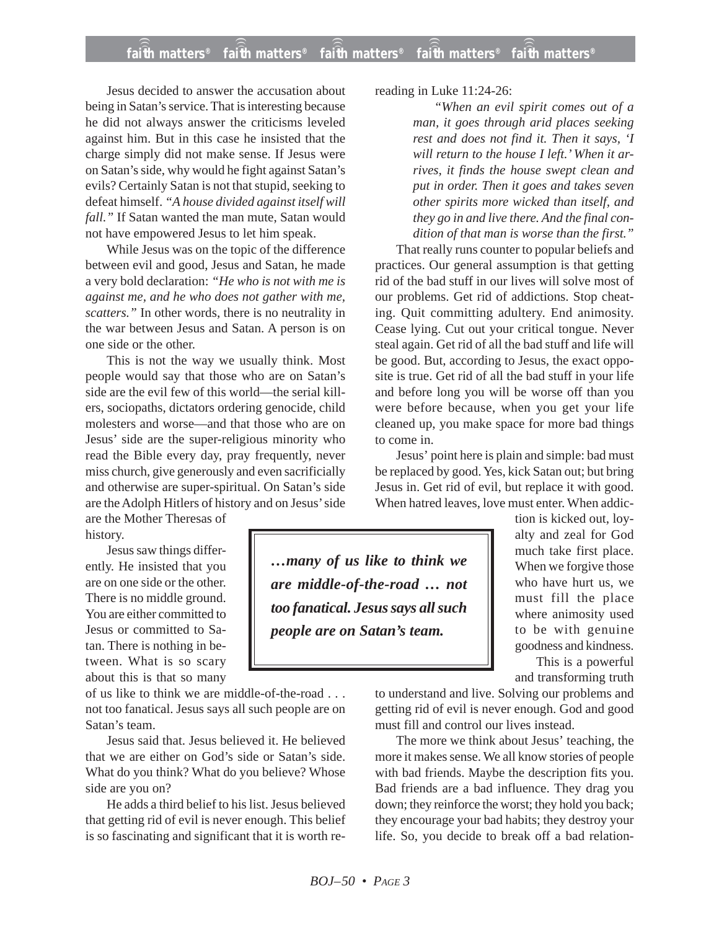Jesus decided to answer the accusation about being in Satan's service. That is interesting because he did not always answer the criticisms leveled against him. But in this case he insisted that the charge simply did not make sense. If Jesus were on Satan's side, why would he fight against Satan's evils? Certainly Satan is not that stupid, seeking to defeat himself. *"A house divided against itself will fall."* If Satan wanted the man mute, Satan would not have empowered Jesus to let him speak.

While Jesus was on the topic of the difference between evil and good, Jesus and Satan, he made a very bold declaration: *"He who is not with me is against me, and he who does not gather with me, scatters."* In other words, there is no neutrality in the war between Jesus and Satan. A person is on one side or the other.

This is not the way we usually think. Most people would say that those who are on Satan's side are the evil few of this world—the serial killers, sociopaths, dictators ordering genocide, child molesters and worse—and that those who are on Jesus' side are the super-religious minority who read the Bible every day, pray frequently, never miss church, give generously and even sacrificially and otherwise are super-spiritual. On Satan's side are the Adolph Hitlers of history and on Jesus' side

are the Mother Theresas of history.

Jesus saw things differently. He insisted that you are on one side or the other. There is no middle ground. You are either committed to Jesus or committed to Satan. There is nothing in between. What is so scary about this is that so many

of us like to think we are middle-of-the-road . . . not too fanatical. Jesus says all such people are on Satan's team.

Jesus said that. Jesus believed it. He believed that we are either on God's side or Satan's side. What do you think? What do you believe? Whose side are you on?

He adds a third belief to his list. Jesus believed that getting rid of evil is never enough. This belief is so fascinating and significant that it is worth rereading in Luke 11:24-26:

*"When an evil spirit comes out of a man, it goes through arid places seeking rest and does not find it. Then it says, 'I will return to the house I left.' When it arrives, it finds the house swept clean and put in order. Then it goes and takes seven other spirits more wicked than itself, and they go in and live there. And the final condition of that man is worse than the first."*

That really runs counter to popular beliefs and practices. Our general assumption is that getting rid of the bad stuff in our lives will solve most of our problems. Get rid of addictions. Stop cheating. Quit committing adultery. End animosity. Cease lying. Cut out your critical tongue. Never steal again. Get rid of all the bad stuff and life will be good. But, according to Jesus, the exact opposite is true. Get rid of all the bad stuff in your life and before long you will be worse off than you were before because, when you get your life cleaned up, you make space for more bad things to come in.

Jesus' point here is plain and simple: bad must be replaced by good. Yes, kick Satan out; but bring Jesus in. Get rid of evil, but replace it with good. When hatred leaves, love must enter. When addic-

*…many of us like to think we are middle-of-the-road … not too fanatical. Jesus says all such people are on Satan's team.*

tion is kicked out, loyalty and zeal for God much take first place. When we forgive those who have hurt us, we must fill the place where animosity used to be with genuine goodness and kindness. This is a powerful and transforming truth

to understand and live. Solving our problems and getting rid of evil is never enough. God and good must fill and control our lives instead.

The more we think about Jesus' teaching, the more it makes sense. We all know stories of people with bad friends. Maybe the description fits you. Bad friends are a bad influence. They drag you down; they reinforce the worst; they hold you back; they encourage your bad habits; they destroy your life. So, you decide to break off a bad relation-